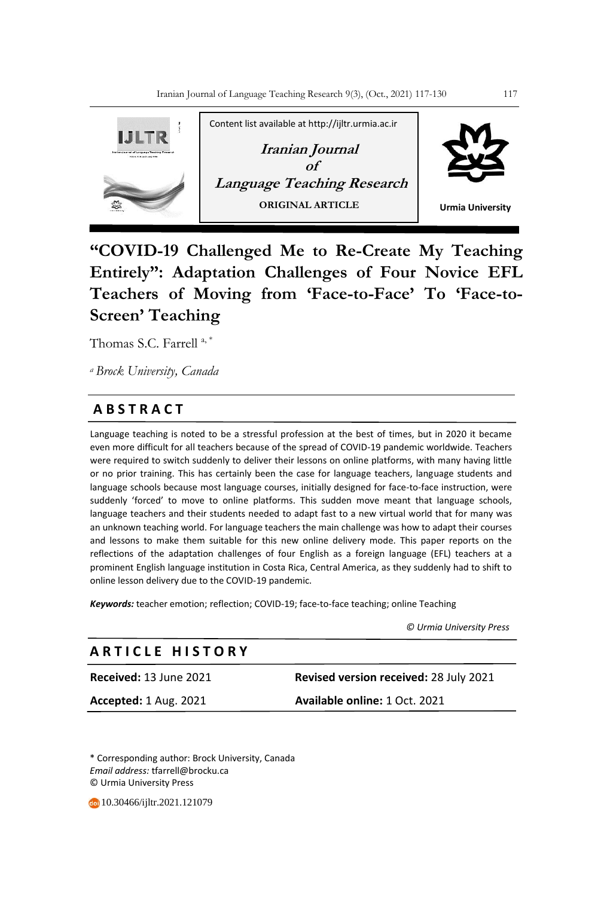

# **"COVID-19 Challenged Me to Re-Create My Teaching Entirely": Adaptation Challenges of Four Novice EFL Teachers of Moving from 'Face-to-Face' To 'Face-to-Screen' Teaching**

Thomas S.C. Farrell<sup>a,\*</sup>

*<sup>a</sup>Brock University, Canada*

# **A B S T R A C T**

Language teaching is noted to be a stressful profession at the best of times, but in 2020 it became even more difficult for all teachers because of the spread of COVID-19 pandemic worldwide. Teachers were required to switch suddenly to deliver their lessons on online platforms, with many having little or no prior training. This has certainly been the case for language teachers, language students and language schools because most language courses, initially designed for face-to-face instruction, were suddenly 'forced' to move to online platforms. This sudden move meant that language schools, language teachers and their students needed to adapt fast to a new virtual world that for many was an unknown teaching world. For language teachers the main challenge was how to adapt their courses and lessons to make them suitable for this new online delivery mode. This paper reports on the reflections of the adaptation challenges of four English as a foreign language (EFL) teachers at a prominent English language institution in Costa Rica, Central America, as they suddenly had to shift to online lesson delivery due to the COVID-19 pandemic.

*Keywords:* teacher emotion; reflection; COVID-19; face-to-face teaching; online Teaching

 *© Urmia University Press*

# **A R T I C L E H I S T O R Y**

**Received:** 13 June 2021 **Revised version received:** 28 July 2021 **Accepted:** 1 Aug. 2021 **Available online:** 1 Oct. 2021

\* Corresponding author: Brock University, Canada *Email address:* tfarrell@brocku.ca © Urmia University Press

10.30466/ijltr.2021.121079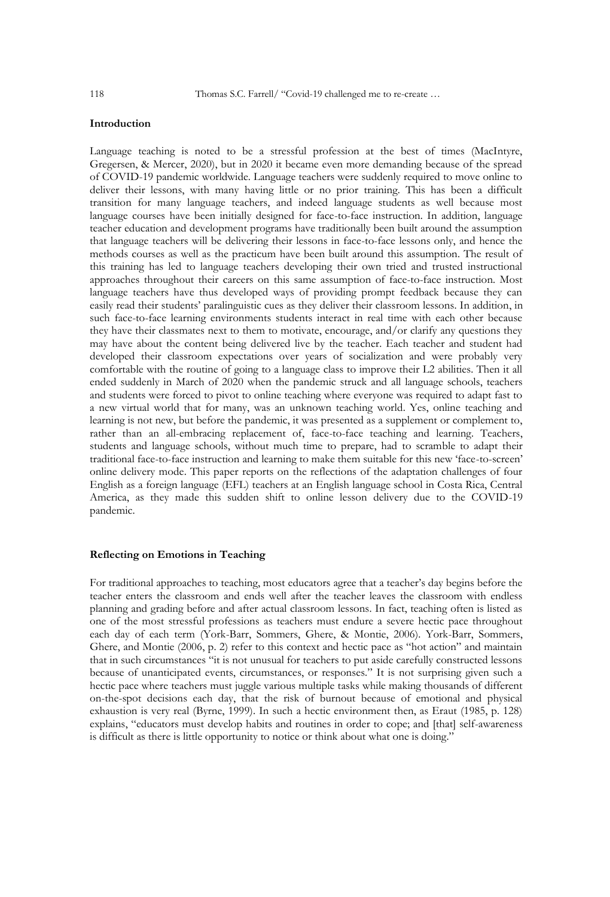#### **Introduction**

Language teaching is noted to be a stressful profession at the best of times (MacIntyre, Gregersen, & Mercer, 2020), but in 2020 it became even more demanding because of the spread of COVID-19 pandemic worldwide. Language teachers were suddenly required to move online to deliver their lessons, with many having little or no prior training. This has been a difficult transition for many language teachers, and indeed language students as well because most language courses have been initially designed for face-to-face instruction. In addition, language teacher education and development programs have traditionally been built around the assumption that language teachers will be delivering their lessons in face-to-face lessons only, and hence the methods courses as well as the practicum have been built around this assumption. The result of this training has led to language teachers developing their own tried and trusted instructional approaches throughout their careers on this same assumption of face-to-face instruction. Most language teachers have thus developed ways of providing prompt feedback because they can easily read their students' paralinguistic cues as they deliver their classroom lessons. In addition, in such face-to-face learning environments students interact in real time with each other because they have their classmates next to them to motivate, encourage, and/or clarify any questions they may have about the content being delivered live by the teacher. Each teacher and student had developed their classroom expectations over years of socialization and were probably very comfortable with the routine of going to a language class to improve their L2 abilities. Then it all ended suddenly in March of 2020 when the pandemic struck and all language schools, teachers and students were forced to pivot to online teaching where everyone was required to adapt fast to a new virtual world that for many, was an unknown teaching world. Yes, online teaching and learning is not new, but before the pandemic, it was presented as a supplement or complement to, rather than an all-embracing replacement of, face-to-face teaching and learning. Teachers, students and language schools, without much time to prepare, had to scramble to adapt their traditional face-to-face instruction and learning to make them suitable for this new 'face-to-screen' online delivery mode. This paper reports on the reflections of the adaptation challenges of four English as a foreign language (EFL) teachers at an English language school in Costa Rica, Central America, as they made this sudden shift to online lesson delivery due to the COVID-19 pandemic.

#### **Reflecting on Emotions in Teaching**

For traditional approaches to teaching, most educators agree that a teacher's day begins before the teacher enters the classroom and ends well after the teacher leaves the classroom with endless planning and grading before and after actual classroom lessons. In fact, teaching often is listed as one of the most stressful professions as teachers must endure a severe hectic pace throughout each day of each term (York-Barr, Sommers, Ghere, & Montie, 2006). York-Barr, Sommers, Ghere, and Montie (2006, p. 2) refer to this context and hectic pace as "hot action" and maintain that in such circumstances "it is not unusual for teachers to put aside carefully constructed lessons because of unanticipated events, circumstances, or responses." It is not surprising given such a hectic pace where teachers must juggle various multiple tasks while making thousands of different on-the-spot decisions each day, that the risk of burnout because of emotional and physical exhaustion is very real (Byrne, 1999). In such a hectic environment then, as Eraut (1985, p. 128) explains, "educators must develop habits and routines in order to cope; and [that] self-awareness is difficult as there is little opportunity to notice or think about what one is doing."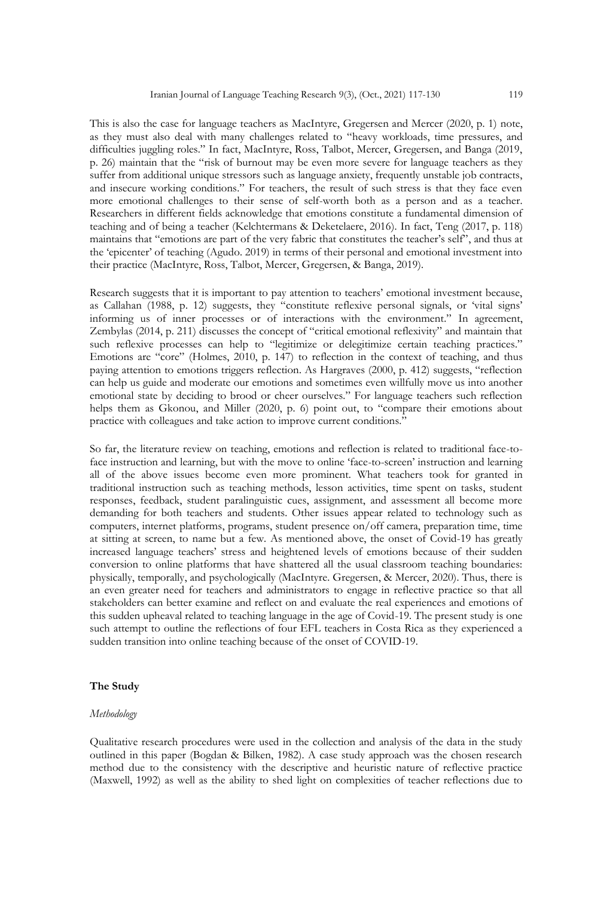This is also the case for language teachers as MacIntyre, Gregersen and Mercer (2020, p. 1) note, as they must also deal with many challenges related to "heavy workloads, time pressures, and difficulties juggling roles." In fact, MacIntyre, Ross, Talbot, Mercer, Gregersen, and Banga (2019, p. 26) maintain that the "risk of burnout may be even more severe for language teachers as they suffer from additional unique stressors such as language anxiety, frequently unstable job contracts, and insecure working conditions." For teachers, the result of such stress is that they face even more emotional challenges to their sense of self-worth both as a person and as a teacher. Researchers in different fields acknowledge that emotions constitute a fundamental dimension of teaching and of being a teacher (Kelchtermans & Deketelaere, 2016). In fact, Teng (2017, p. 118) maintains that "emotions are part of the very fabric that constitutes the teacher's self", and thus at the 'epicenter' of teaching (Agudo. 2019) in terms of their personal and emotional investment into their practice (MacIntyre, Ross, Talbot, Mercer, Gregersen, & Banga, 2019).

Research suggests that it is important to pay attention to teachers' emotional investment because, as Callahan (1988, p. 12) suggests, they "constitute reflexive personal signals, or 'vital signs' informing us of inner processes or of interactions with the environment." In agreement, Zembylas (2014, p. 211) discusses the concept of "critical emotional reflexivity" and maintain that such reflexive processes can help to "legitimize or delegitimize certain teaching practices." Emotions are "core" (Holmes, 2010, p. 147) to reflection in the context of teaching, and thus paying attention to emotions triggers reflection. As Hargraves (2000, p. 412) suggests, "reflection can help us guide and moderate our emotions and sometimes even willfully move us into another emotional state by deciding to brood or cheer ourselves." For language teachers such reflection helps them as Gkonou, and Miller (2020, p. 6) point out, to "compare their emotions about practice with colleagues and take action to improve current conditions."

So far, the literature review on teaching, emotions and reflection is related to traditional face-toface instruction and learning, but with the move to online 'face-to-screen' instruction and learning all of the above issues become even more prominent. What teachers took for granted in traditional instruction such as teaching methods, lesson activities, time spent on tasks, student responses, feedback, student paralinguistic cues, assignment, and assessment all become more demanding for both teachers and students. Other issues appear related to technology such as computers, internet platforms, programs, student presence on/off camera, preparation time, time at sitting at screen, to name but a few. As mentioned above, the onset of Covid-19 has greatly increased language teachers' stress and heightened levels of emotions because of their sudden conversion to online platforms that have shattered all the usual classroom teaching boundaries: physically, temporally, and psychologically (MacIntyre. Gregersen, & Mercer, 2020). Thus, there is an even greater need for teachers and administrators to engage in reflective practice so that all stakeholders can better examine and reflect on and evaluate the real experiences and emotions of this sudden upheaval related to teaching language in the age of Covid-19. The present study is one such attempt to outline the reflections of four EFL teachers in Costa Rica as they experienced a sudden transition into online teaching because of the onset of COVID-19.

## **The Study**

#### *Methodology*

Qualitative research procedures were used in the collection and analysis of the data in the study outlined in this paper (Bogdan & Bilken, 1982). A case study approach was the chosen research method due to the consistency with the descriptive and heuristic nature of reflective practice (Maxwell, 1992) as well as the ability to shed light on complexities of teacher reflections due to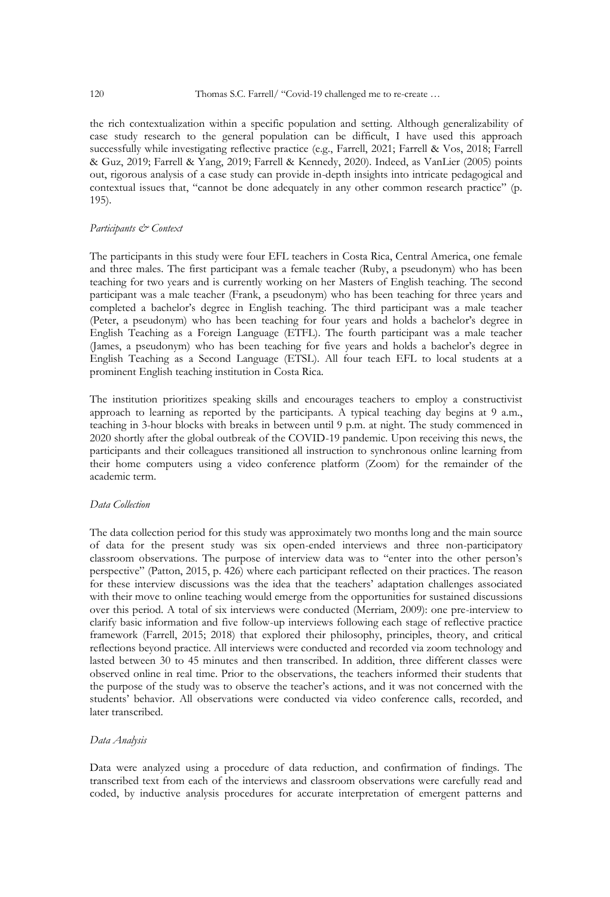the rich contextualization within a specific population and setting. Although generalizability of case study research to the general population can be difficult, I have used this approach successfully while investigating reflective practice (e.g., Farrell, 2021; Farrell & Vos, 2018; Farrell & Guz, 2019; Farrell & Yang, 2019; Farrell & Kennedy, 2020). Indeed, as VanLier (2005) points out, rigorous analysis of a case study can provide in-depth insights into intricate pedagogical and contextual issues that, "cannot be done adequately in any other common research practice" (p. 195).

#### *Participants & Context*

The participants in this study were four EFL teachers in Costa Rica, Central America, one female and three males. The first participant was a female teacher (Ruby, a pseudonym) who has been teaching for two years and is currently working on her Masters of English teaching. The second participant was a male teacher (Frank, a pseudonym) who has been teaching for three years and completed a bachelor's degree in English teaching. The third participant was a male teacher (Peter, a pseudonym) who has been teaching for four years and holds a bachelor's degree in English Teaching as a Foreign Language (ETFL). The fourth participant was a male teacher (James, a pseudonym) who has been teaching for five years and holds a bachelor's degree in English Teaching as a Second Language (ETSL). All four teach EFL to local students at a prominent English teaching institution in Costa Rica.

The institution prioritizes speaking skills and encourages teachers to employ a constructivist approach to learning as reported by the participants. A typical teaching day begins at 9 a.m., teaching in 3-hour blocks with breaks in between until 9 p.m. at night. The study commenced in 2020 shortly after the global outbreak of the COVID-19 pandemic. Upon receiving this news, the participants and their colleagues transitioned all instruction to synchronous online learning from their home computers using a video conference platform (Zoom) for the remainder of the academic term.

## *Data Collection*

The data collection period for this study was approximately two months long and the main source of data for the present study was six open-ended interviews and three non-participatory classroom observations. The purpose of interview data was to "enter into the other person's perspective" (Patton, 2015, p. 426) where each participant reflected on their practices. The reason for these interview discussions was the idea that the teachers' adaptation challenges associated with their move to online teaching would emerge from the opportunities for sustained discussions over this period. A total of six interviews were conducted (Merriam, 2009): one pre-interview to clarify basic information and five follow-up interviews following each stage of reflective practice framework (Farrell, 2015; 2018) that explored their philosophy, principles, theory, and critical reflections beyond practice. All interviews were conducted and recorded via zoom technology and lasted between 30 to 45 minutes and then transcribed. In addition, three different classes were observed online in real time. Prior to the observations, the teachers informed their students that the purpose of the study was to observe the teacher's actions, and it was not concerned with the students' behavior. All observations were conducted via video conference calls, recorded, and later transcribed.

#### *Data Analysis*

Data were analyzed using a procedure of data reduction, and confirmation of findings. The transcribed text from each of the interviews and classroom observations were carefully read and coded, by inductive analysis procedures for accurate interpretation of emergent patterns and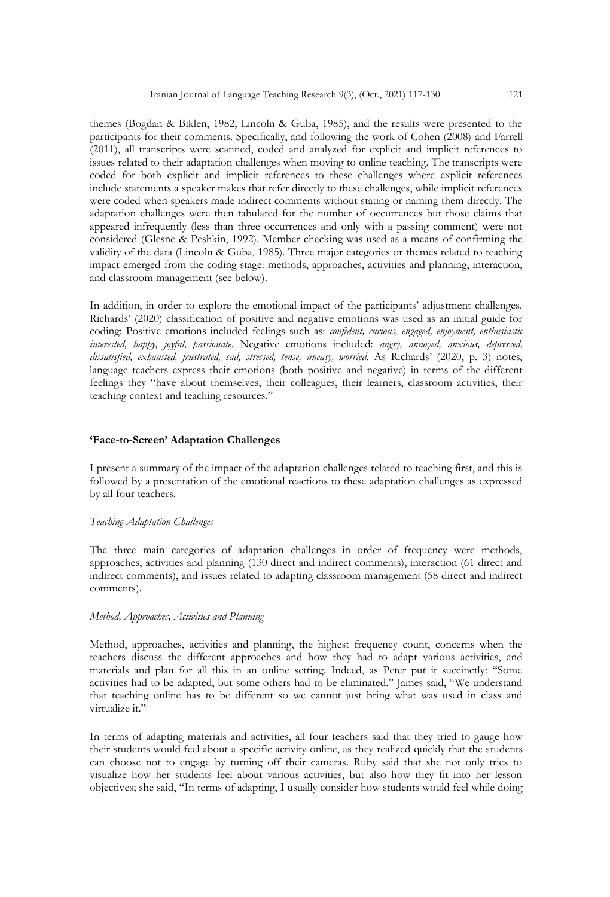themes (Bogdan & Biklen, 1982; Lincoln & Guba, 1985), and the results were presented to the participants for their comments. Specifically, and following the work of Cohen (2008) and Farrell (2011), all transcripts were scanned, coded and analyzed for explicit and implicit references to issues related to their adaptation challenges when moving to online teaching. The transcripts were coded for both explicit and implicit references to these challenges where explicit references include statements a speaker makes that refer directly to these challenges, while implicit references were coded when speakers made indirect comments without stating or naming them directly. The adaptation challenges were then tabulated for the number of occurrences but those claims that appeared infrequently (less than three occurrences and only with a passing comment) were not considered (Glesne & Peshkin, 1992). Member checking was used as a means of confirming the validity of the data (Lincoln & Guba, 1985). Three major categories or themes related to teaching impact emerged from the coding stage: methods, approaches, activities and planning, interaction, and classroom management (see below).

In addition, in order to explore the emotional impact of the participants' adjustment challenges. Richards' (2020) classification of positive and negative emotions was used as an initial guide for coding: Positive emotions included feelings such as: *confident, curious, engaged, enjoyment, enthusiastic interested, happy, joyful, passionate*. Negative emotions included: *angry, annoyed, anxious, depressed, dissatisfied, exhausted, frustrated, sad, stressed, tense, uneasy, worried*. As Richards' (2020, p. 3) notes, language teachers express their emotions (both positive and negative) in terms of the different feelings they "have about themselves, their colleagues, their learners, classroom activities, their teaching context and teaching resources."

#### **'Face-to-Screen' Adaptation Challenges**

I present a summary of the impact of the adaptation challenges related to teaching first, and this is followed by a presentation of the emotional reactions to these adaptation challenges as expressed by all four teachers.

#### *Teaching Adaptation Challenges*

The three main categories of adaptation challenges in order of frequency were methods, approaches, activities and planning (130 direct and indirect comments), interaction (61 direct and indirect comments), and issues related to adapting classroom management (58 direct and indirect comments).

#### *Method, Approaches, Activities and Planning*

Method, approaches, activities and planning, the highest frequency count, concerns when the teachers discuss the different approaches and how they had to adapt various activities, and materials and plan for all this in an online setting. Indeed, as Peter put it succinctly: "Some activities had to be adapted, but some others had to be eliminated." James said, "We understand that teaching online has to be different so we cannot just bring what was used in class and virtualize it."

In terms of adapting materials and activities, all four teachers said that they tried to gauge how their students would feel about a specific activity online, as they realized quickly that the students can choose not to engage by turning off their cameras. Ruby said that she not only tries to visualize how her students feel about various activities, but also how they fit into her lesson objectives; she said, "In terms of adapting, I usually consider how students would feel while doing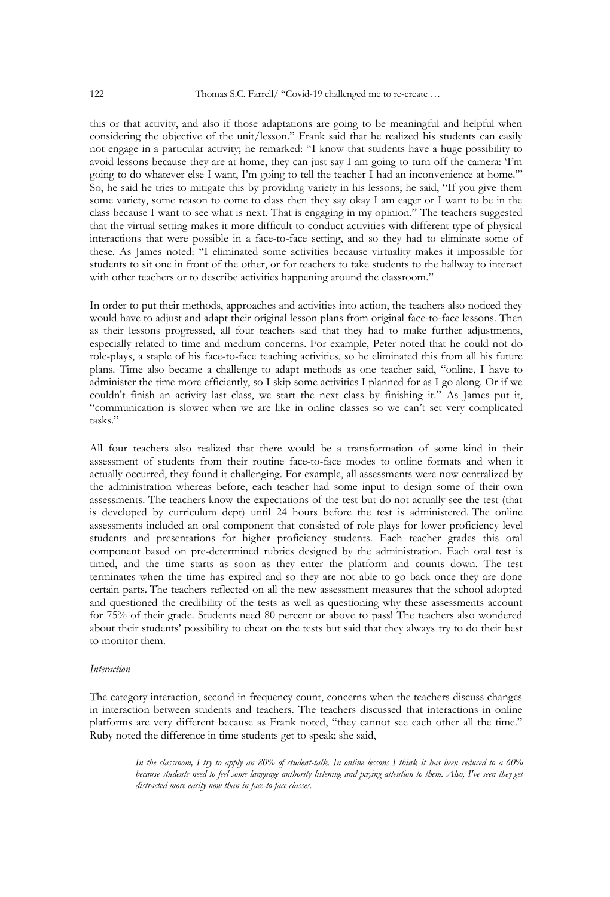this or that activity, and also if those adaptations are going to be meaningful and helpful when considering the objective of the unit/lesson." Frank said that he realized his students can easily not engage in a particular activity; he remarked: "I know that students have a huge possibility to avoid lessons because they are at home, they can just say I am going to turn off the camera: 'I'm going to do whatever else I want, I'm going to tell the teacher I had an inconvenience at home." So, he said he tries to mitigate this by providing variety in his lessons; he said, "If you give them some variety, some reason to come to class then they say okay I am eager or I want to be in the class because I want to see what is next. That is engaging in my opinion." The teachers suggested that the virtual setting makes it more difficult to conduct activities with different type of physical interactions that were possible in a face-to-face setting, and so they had to eliminate some of these. As James noted: "I eliminated some activities because virtuality makes it impossible for students to sit one in front of the other, or for teachers to take students to the hallway to interact with other teachers or to describe activities happening around the classroom."

In order to put their methods, approaches and activities into action, the teachers also noticed they would have to adjust and adapt their original lesson plans from original face-to-face lessons. Then as their lessons progressed, all four teachers said that they had to make further adjustments, especially related to time and medium concerns. For example, Peter noted that he could not do role-plays, a staple of his face-to-face teaching activities, so he eliminated this from all his future plans. Time also became a challenge to adapt methods as one teacher said, "online, I have to administer the time more efficiently, so I skip some activities I planned for as I go along. Or if we couldn't finish an activity last class, we start the next class by finishing it." As James put it, "communication is slower when we are like in online classes so we can't set very complicated tasks."

All four teachers also realized that there would be a transformation of some kind in their assessment of students from their routine face-to-face modes to online formats and when it actually occurred, they found it challenging. For example, all assessments were now centralized by the administration whereas before, each teacher had some input to design some of their own assessments. The teachers know the expectations of the test but do not actually see the test (that is developed by curriculum dept) until 24 hours before the test is administered. The online assessments included an oral component that consisted of role plays for lower proficiency level students and presentations for higher proficiency students. Each teacher grades this oral component based on pre-determined rubrics designed by the administration. Each oral test is timed, and the time starts as soon as they enter the platform and counts down. The test terminates when the time has expired and so they are not able to go back once they are done certain parts. The teachers reflected on all the new assessment measures that the school adopted and questioned the credibility of the tests as well as questioning why these assessments account for 75% of their grade. Students need 80 percent or above to pass! The teachers also wondered about their students' possibility to cheat on the tests but said that they always try to do their best to monitor them.

#### *Interaction*

The category interaction, second in frequency count, concerns when the teachers discuss changes in interaction between students and teachers. The teachers discussed that interactions in online platforms are very different because as Frank noted, "they cannot see each other all the time." Ruby noted the difference in time students get to speak; she said,

> In the classroom, I try to apply an 80% of student-talk. In online lessons I think it has been reduced to a 60% because students need to feel some language authority listening and paying attention to them. Also, I've seen they get *distracted more easily now than in face-to-face classes.*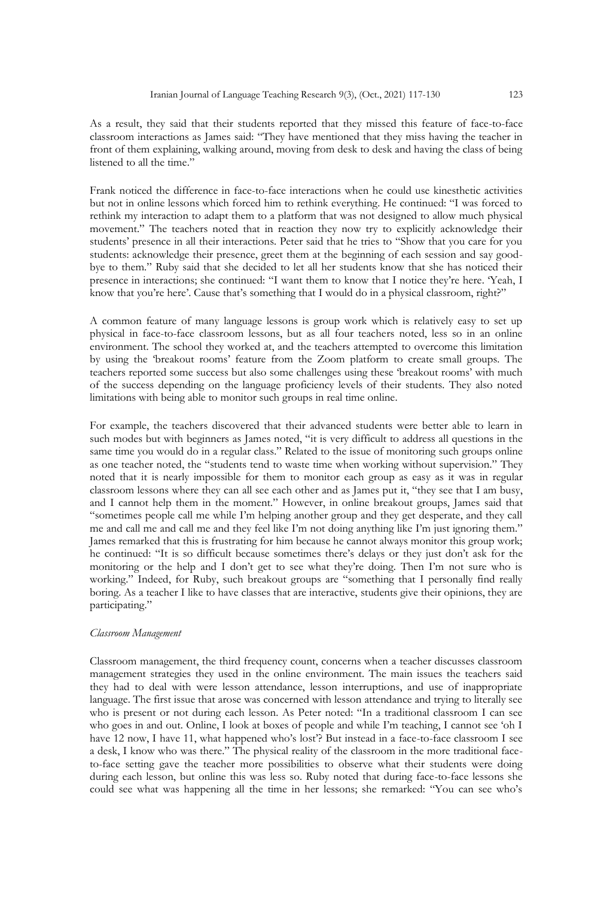As a result, they said that their students reported that they missed this feature of face-to-face classroom interactions as James said: "They have mentioned that they miss having the teacher in front of them explaining, walking around, moving from desk to desk and having the class of being listened to all the time."

Frank noticed the difference in face-to-face interactions when he could use kinesthetic activities but not in online lessons which forced him to rethink everything. He continued: "I was forced to rethink my interaction to adapt them to a platform that was not designed to allow much physical movement." The teachers noted that in reaction they now try to explicitly acknowledge their students' presence in all their interactions. Peter said that he tries to "Show that you care for you students: acknowledge their presence, greet them at the beginning of each session and say goodbye to them." Ruby said that she decided to let all her students know that she has noticed their presence in interactions; she continued: "I want them to know that I notice they're here. 'Yeah, I know that you're here'. Cause that's something that I would do in a physical classroom, right?"

A common feature of many language lessons is group work which is relatively easy to set up physical in face-to-face classroom lessons, but as all four teachers noted, less so in an online environment. The school they worked at, and the teachers attempted to overcome this limitation by using the 'breakout rooms' feature from the Zoom platform to create small groups. The teachers reported some success but also some challenges using these 'breakout rooms' with much of the success depending on the language proficiency levels of their students. They also noted limitations with being able to monitor such groups in real time online.

For example, the teachers discovered that their advanced students were better able to learn in such modes but with beginners as James noted, "it is very difficult to address all questions in the same time you would do in a regular class." Related to the issue of monitoring such groups online as one teacher noted, the "students tend to waste time when working without supervision." They noted that it is nearly impossible for them to monitor each group as easy as it was in regular classroom lessons where they can all see each other and as James put it, "they see that I am busy, and I cannot help them in the moment." However, in online breakout groups, James said that "sometimes people call me while I'm helping another group and they get desperate, and they call me and call me and call me and they feel like I'm not doing anything like I'm just ignoring them." James remarked that this is frustrating for him because he cannot always monitor this group work; he continued: "It is so difficult because sometimes there's delays or they just don't ask for the monitoring or the help and I don't get to see what they're doing. Then I'm not sure who is working." Indeed, for Ruby, such breakout groups are "something that I personally find really boring. As a teacher I like to have classes that are interactive, students give their opinions, they are participating."

#### *Classroom Management*

Classroom management, the third frequency count, concerns when a teacher discusses classroom management strategies they used in the online environment. The main issues the teachers said they had to deal with were lesson attendance, lesson interruptions, and use of inappropriate language. The first issue that arose was concerned with lesson attendance and trying to literally see who is present or not during each lesson. As Peter noted: "In a traditional classroom I can see who goes in and out. Online, I look at boxes of people and while I'm teaching, I cannot see 'oh I have 12 now, I have 11, what happened who's lost'? But instead in a face-to-face classroom I see a desk, I know who was there." The physical reality of the classroom in the more traditional faceto-face setting gave the teacher more possibilities to observe what their students were doing during each lesson, but online this was less so. Ruby noted that during face-to-face lessons she could see what was happening all the time in her lessons; she remarked: "You can see who's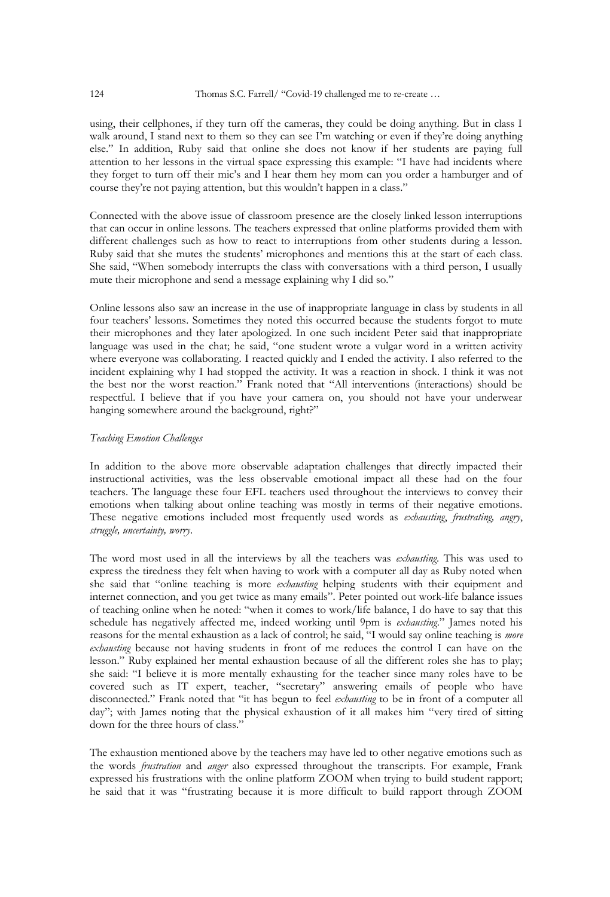using, their cellphones, if they turn off the cameras, they could be doing anything. But in class I walk around, I stand next to them so they can see I'm watching or even if they're doing anything else." In addition, Ruby said that online she does not know if her students are paying full attention to her lessons in the virtual space expressing this example: "I have had incidents where they forget to turn off their mic's and I hear them hey mom can you order a hamburger and of course they're not paying attention, but this wouldn't happen in a class."

Connected with the above issue of classroom presence are the closely linked lesson interruptions that can occur in online lessons. The teachers expressed that online platforms provided them with different challenges such as how to react to interruptions from other students during a lesson. Ruby said that she mutes the students' microphones and mentions this at the start of each class. She said, "When somebody interrupts the class with conversations with a third person, I usually mute their microphone and send a message explaining why I did so."

Online lessons also saw an increase in the use of inappropriate language in class by students in all four teachers' lessons. Sometimes they noted this occurred because the students forgot to mute their microphones and they later apologized. In one such incident Peter said that inappropriate language was used in the chat; he said, "one student wrote a vulgar word in a written activity where everyone was collaborating. I reacted quickly and I ended the activity. I also referred to the incident explaining why I had stopped the activity. It was a reaction in shock. I think it was not the best nor the worst reaction." Frank noted that "All interventions (interactions) should be respectful. I believe that if you have your camera on, you should not have your underwear hanging somewhere around the background, right?"

#### *Teaching Emotion Challenges*

In addition to the above more observable adaptation challenges that directly impacted their instructional activities, was the less observable emotional impact all these had on the four teachers. The language these four EFL teachers used throughout the interviews to convey their emotions when talking about online teaching was mostly in terms of their negative emotions. These negative emotions included most frequently used words as *exhausting*, *frustrating, angry*, *struggle, uncertainty, worry*.

The word most used in all the interviews by all the teachers was *exhausting*. This was used to express the tiredness they felt when having to work with a computer all day as Ruby noted when she said that "online teaching is more *exhausting* helping students with their equipment and internet connection, and you get twice as many emails". Peter pointed out work-life balance issues of teaching online when he noted: "when it comes to work/life balance, I do have to say that this schedule has negatively affected me, indeed working until 9pm is *exhausting*." James noted his reasons for the mental exhaustion as a lack of control; he said, "I would say online teaching is *more exhausting* because not having students in front of me reduces the control I can have on the lesson." Ruby explained her mental exhaustion because of all the different roles she has to play; she said: "I believe it is more mentally exhausting for the teacher since many roles have to be covered such as IT expert, teacher, "secretary" answering emails of people who have disconnected." Frank noted that "it has begun to feel *exhausting* to be in front of a computer all day"; with James noting that the physical exhaustion of it all makes him "very tired of sitting down for the three hours of class."

The exhaustion mentioned above by the teachers may have led to other negative emotions such as the words *frustration* and *anger* also expressed throughout the transcripts. For example, Frank expressed his frustrations with the online platform ZOOM when trying to build student rapport; he said that it was "frustrating because it is more difficult to build rapport through ZOOM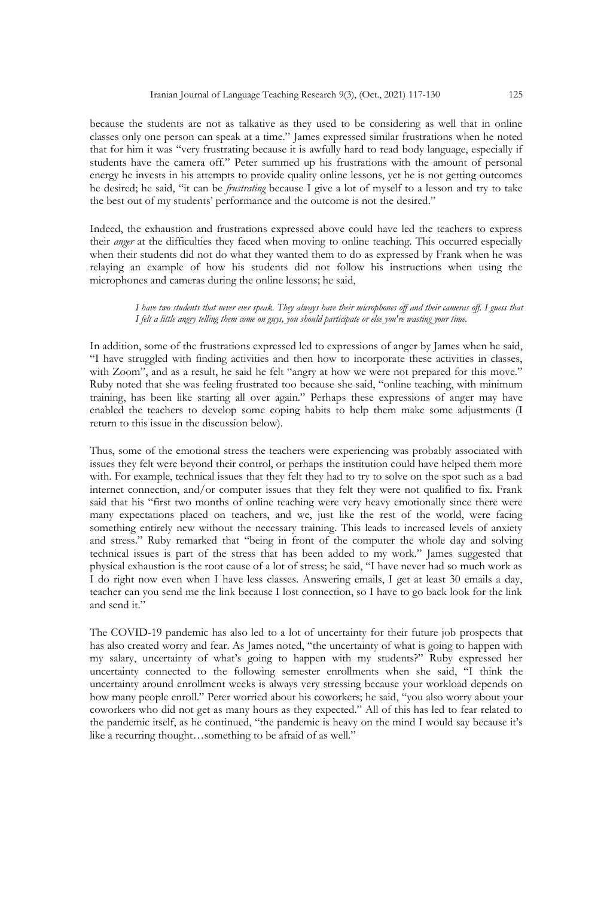because the students are not as talkative as they used to be considering as well that in online classes only one person can speak at a time." James expressed similar frustrations when he noted that for him it was "very frustrating because it is awfully hard to read body language, especially if students have the camera off." Peter summed up his frustrations with the amount of personal energy he invests in his attempts to provide quality online lessons, yet he is not getting outcomes he desired; he said, "it can be *frustrating* because I give a lot of myself to a lesson and try to take the best out of my students' performance and the outcome is not the desired."

Indeed, the exhaustion and frustrations expressed above could have led the teachers to express their *anger* at the difficulties they faced when moving to online teaching. This occurred especially when their students did not do what they wanted them to do as expressed by Frank when he was relaying an example of how his students did not follow his instructions when using the microphones and cameras during the online lessons; he said,

> I have two students that never ever speak. They always have their microphones off and their cameras off. I guess that I felt a little angry telling them come on guys, you should participate or else you're wasting your time.

In addition, some of the frustrations expressed led to expressions of anger by James when he said, "I have struggled with finding activities and then how to incorporate these activities in classes, with Zoom", and as a result, he said he felt "angry at how we were not prepared for this move." Ruby noted that she was feeling frustrated too because she said, "online teaching, with minimum training, has been like starting all over again." Perhaps these expressions of anger may have enabled the teachers to develop some coping habits to help them make some adjustments (I return to this issue in the discussion below).

Thus, some of the emotional stress the teachers were experiencing was probably associated with issues they felt were beyond their control, or perhaps the institution could have helped them more with. For example, technical issues that they felt they had to try to solve on the spot such as a bad internet connection, and/or computer issues that they felt they were not qualified to fix. Frank said that his "first two months of online teaching were very heavy emotionally since there were many expectations placed on teachers, and we, just like the rest of the world, were facing something entirely new without the necessary training. This leads to increased levels of anxiety and stress." Ruby remarked that "being in front of the computer the whole day and solving technical issues is part of the stress that has been added to my work." James suggested that physical exhaustion is the root cause of a lot of stress; he said, "I have never had so much work as I do right now even when I have less classes. Answering emails, I get at least 30 emails a day, teacher can you send me the link because I lost connection, so I have to go back look for the link and send it."

The COVID-19 pandemic has also led to a lot of uncertainty for their future job prospects that has also created worry and fear. As James noted, "the uncertainty of what is going to happen with my salary, uncertainty of what's going to happen with my students?" Ruby expressed her uncertainty connected to the following semester enrollments when she said, "I think the uncertainty around enrollment weeks is always very stressing because your workload depends on how many people enroll." Peter worried about his coworkers; he said, "you also worry about your coworkers who did not get as many hours as they expected." All of this has led to fear related to the pandemic itself, as he continued, "the pandemic is heavy on the mind I would say because it's like a recurring thought…something to be afraid of as well."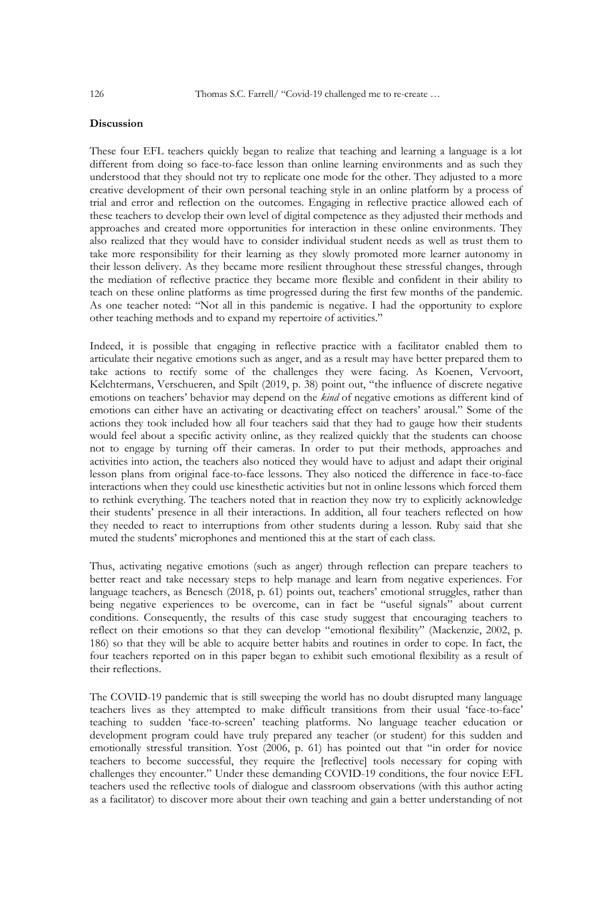## **Discussion**

These four EFL teachers quickly began to realize that teaching and learning a language is a lot different from doing so face-to-face lesson than online learning environments and as such they understood that they should not try to replicate one mode for the other. They adjusted to a more creative development of their own personal teaching style in an online platform by a process of trial and error and reflection on the outcomes. Engaging in reflective practice allowed each of these teachers to develop their own level of digital competence as they adjusted their methods and approaches and created more opportunities for interaction in these online environments. They also realized that they would have to consider individual student needs as well as trust them to take more responsibility for their learning as they slowly promoted more learner autonomy in their lesson delivery. As they became more resilient throughout these stressful changes, through the mediation of reflective practice they became more flexible and confident in their ability to teach on these online platforms as time progressed during the first few months of the pandemic. As one teacher noted: "Not all in this pandemic is negative. I had the opportunity to explore other teaching methods and to expand my repertoire of activities."

Indeed, it is possible that engaging in reflective practice with a facilitator enabled them to articulate their negative emotions such as anger, and as a result may have better prepared them to take actions to rectify some of the challenges they were facing. As Koenen, Vervoort, Kelchtermans, Verschueren, and Spilt (2019, p. 38) point out, "the influence of discrete negative emotions on teachers' behavior may depend on the *kind* of negative emotions as different kind of emotions can either have an activating or deactivating effect on teachers' arousal." Some of the actions they took included how all four teachers said that they had to gauge how their students would feel about a specific activity online, as they realized quickly that the students can choose not to engage by turning off their cameras. In order to put their methods, approaches and activities into action, the teachers also noticed they would have to adjust and adapt their original lesson plans from original face-to-face lessons. They also noticed the difference in face-to-face interactions when they could use kinesthetic activities but not in online lessons which forced them to rethink everything. The teachers noted that in reaction they now try to explicitly acknowledge their students' presence in all their interactions. In addition, all four teachers reflected on how they needed to react to interruptions from other students during a lesson. Ruby said that she muted the students' microphones and mentioned this at the start of each class.

Thus, activating negative emotions (such as anger) through reflection can prepare teachers to better react and take necessary steps to help manage and learn from negative experiences. For language teachers, as Benesch (2018, p. 61) points out, teachers' emotional struggles, rather than being negative experiences to be overcome, can in fact be "useful signals" about current conditions. Consequently, the results of this case study suggest that encouraging teachers to reflect on their emotions so that they can develop "emotional flexibility" (Mackenzie, 2002, p. 186) so that they will be able to acquire better habits and routines in order to cope. In fact, the four teachers reported on in this paper began to exhibit such emotional flexibility as a result of their reflections.

The COVID-19 pandemic that is still sweeping the world has no doubt disrupted many language teachers lives as they attempted to make difficult transitions from their usual 'face-to-face' teaching to sudden 'face-to-screen' teaching platforms. No language teacher education or development program could have truly prepared any teacher (or student) for this sudden and emotionally stressful transition. Yost (2006, p. 61) has pointed out that "in order for novice teachers to become successful, they require the [reflective] tools necessary for coping with challenges they encounter." Under these demanding COVID-19 conditions, the four novice EFL teachers used the reflective tools of dialogue and classroom observations (with this author acting as a facilitator) to discover more about their own teaching and gain a better understanding of not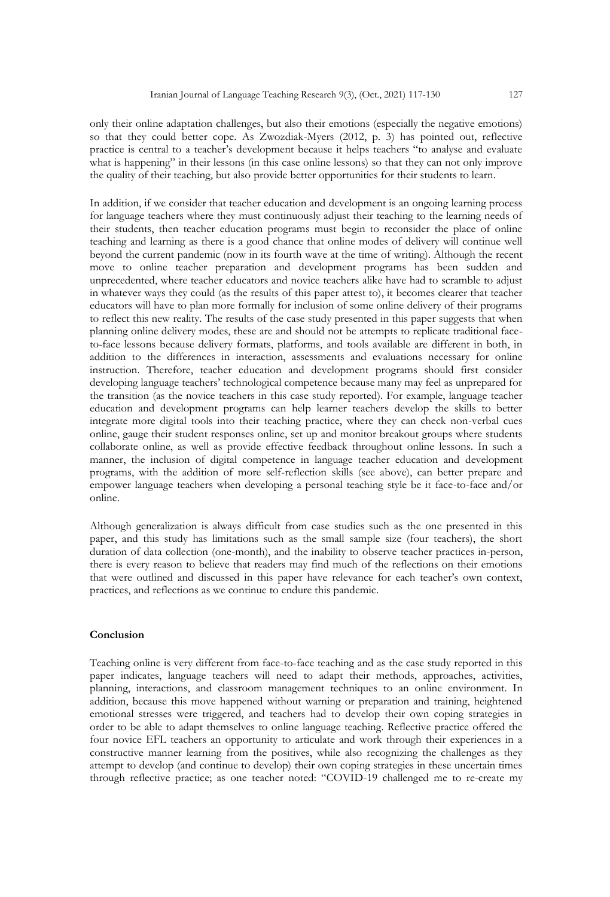only their online adaptation challenges, but also their emotions (especially the negative emotions) so that they could better cope. As Zwozdiak-Myers (2012, p. 3) has pointed out, reflective practice is central to a teacher's development because it helps teachers "to analyse and evaluate what is happening" in their lessons (in this case online lessons) so that they can not only improve the quality of their teaching, but also provide better opportunities for their students to learn.

In addition, if we consider that teacher education and development is an ongoing learning process for language teachers where they must continuously adjust their teaching to the learning needs of their students, then teacher education programs must begin to reconsider the place of online teaching and learning as there is a good chance that online modes of delivery will continue well beyond the current pandemic (now in its fourth wave at the time of writing). Although the recent move to online teacher preparation and development programs has been sudden and unprecedented, where teacher educators and novice teachers alike have had to scramble to adjust in whatever ways they could (as the results of this paper attest to), it becomes clearer that teacher educators will have to plan more formally for inclusion of some online delivery of their programs to reflect this new reality. The results of the case study presented in this paper suggests that when planning online delivery modes, these are and should not be attempts to replicate traditional faceto-face lessons because delivery formats, platforms, and tools available are different in both, in addition to the differences in interaction, assessments and evaluations necessary for online instruction. Therefore, teacher education and development programs should first consider developing language teachers' technological competence because many may feel as unprepared for the transition (as the novice teachers in this case study reported). For example, language teacher education and development programs can help learner teachers develop the skills to better integrate more digital tools into their teaching practice, where they can check non-verbal cues online, gauge their student responses online, set up and monitor breakout groups where students collaborate online, as well as provide effective feedback throughout online lessons. In such a manner, the inclusion of digital competence in language teacher education and development programs, with the addition of more self-reflection skills (see above), can better prepare and empower language teachers when developing a personal teaching style be it face-to-face and/or online.

Although generalization is always difficult from case studies such as the one presented in this paper, and this study has limitations such as the small sample size (four teachers), the short duration of data collection (one-month), and the inability to observe teacher practices in-person, there is every reason to believe that readers may find much of the reflections on their emotions that were outlined and discussed in this paper have relevance for each teacher's own context, practices, and reflections as we continue to endure this pandemic.

#### **Conclusion**

Teaching online is very different from face-to-face teaching and as the case study reported in this paper indicates, language teachers will need to adapt their methods, approaches, activities, planning, interactions, and classroom management techniques to an online environment. In addition, because this move happened without warning or preparation and training, heightened emotional stresses were triggered, and teachers had to develop their own coping strategies in order to be able to adapt themselves to online language teaching. Reflective practice offered the four novice EFL teachers an opportunity to articulate and work through their experiences in a constructive manner learning from the positives, while also recognizing the challenges as they attempt to develop (and continue to develop) their own coping strategies in these uncertain times through reflective practice; as one teacher noted: "COVID-19 challenged me to re-create my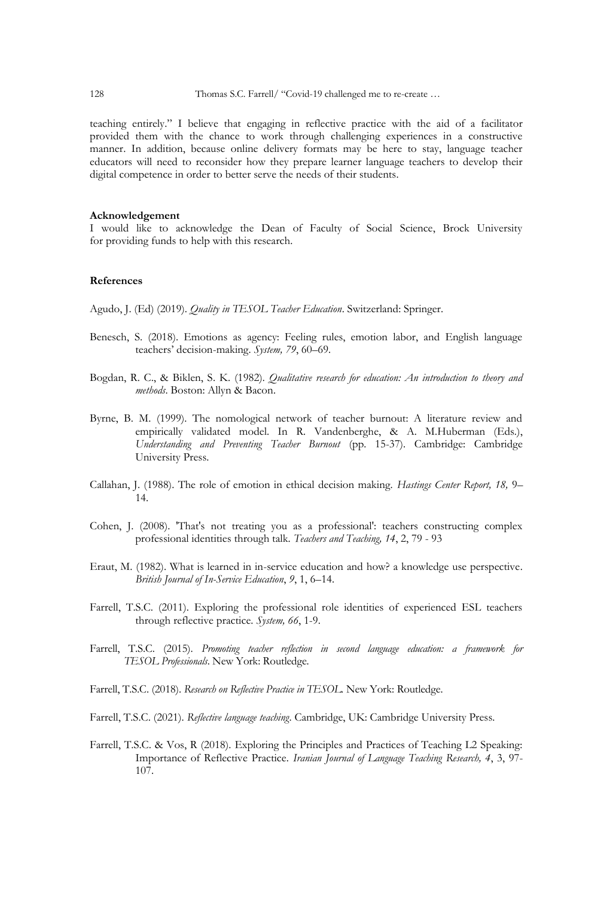teaching entirely." I believe that engaging in reflective practice with the aid of a facilitator provided them with the chance to work through challenging experiences in a constructive manner. In addition, because online delivery formats may be here to stay, language teacher educators will need to reconsider how they prepare learner language teachers to develop their digital competence in order to better serve the needs of their students.

#### **Acknowledgement**

I would like to acknowledge the Dean of Faculty of Social Science, Brock University for providing funds to help with this research.

## **References**

Agudo, J. (Ed) (2019). *Quality in TESOL Teacher Education*. Switzerland: Springer.

- Benesch, S. (2018). Emotions as agency: Feeling rules, emotion labor, and English language teachers' decision-making. *System, 79*, 60–69.
- Bogdan, R. C., & Biklen, S. K. (1982)*. Qualitative research for education: An introduction to theory and methods*. Boston: Allyn & Bacon.
- Byrne, B. M. (1999). The nomological network of teacher burnout: A literature review and empirically validated model. In R. Vandenberghe, & A. M.Huberman (Eds.), *Understanding and Preventing Teacher Burnout* (pp. 15-37). Cambridge: Cambridge University Press.
- Callahan, J. (1988). The role of emotion in ethical decision making. *Hastings Center Report, 18,* 9– 14.
- Cohen, J. (2008). 'That's not treating you as a professional': teachers constructing complex professional identities through talk. *Teachers and Teaching, 14*, 2, 79 - 93
- Eraut, M. (1982). What is learned in in-service education and how? a knowledge use perspective. *British Journal of In-Service Education*, *9*, 1, 6–14.
- Farrell, T.S.C. (2011). Exploring the professional role identities of experienced ESL teachers through reflective practice. *System, 66*, 1-9.
- Farrell, T.S.C. (2015). *Promoting teacher reflection in second language education: a framework for TESOL Professionals*. New York: Routledge.
- Farrell, T.S.C. (2018). *Research on Reflective Practice in TESOL.* New York: Routledge.
- Farrell, T.S.C. (2021). *Reflective language teaching*. Cambridge, UK: Cambridge University Press.
- Farrell, T.S.C. & Vos, R (2018). Exploring the Principles and Practices of Teaching L2 Speaking: Importance of Reflective Practice. *Iranian Journal of Language Teaching Research, 4*, 3, 97- 107.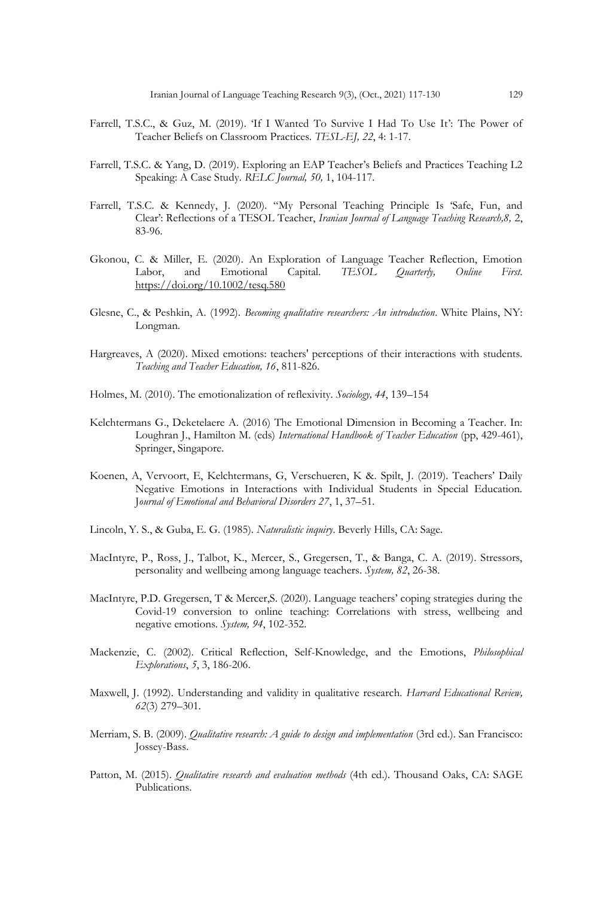- Farrell, T.S.C., & Guz, M. (2019). 'If I Wanted To Survive I Had To Use It': The Power of Teacher Beliefs on Classroom Practices. *TESL-EJ, 22*, 4: 1-17.
- Farrell, T.S.C. & Yang, D. (2019). Exploring an EAP Teacher's Beliefs and Practices Teaching L2 Speaking: A Case Study. *RELC Journal, 50,* 1, 104-117.
- Farrell, T.S.C. & Kennedy, J. (2020). "My Personal Teaching Principle Is 'Safe, Fun, and Clear': Reflections of a TESOL Teacher, *Iranian Journal of Language Teaching Research,8,* 2, 83-96.
- Gkonou, C. & Miller, E. (2020). An Exploration of Language Teacher Reflection, Emotion Labor, and Emotional Capital. *TESOL Quarterly, Online First.*  <https://doi.org/10.1002/tesq.580>
- Glesne, C., & Peshkin, A. (1992). *Becoming qualitative researchers: An introduction*. White Plains, NY: Longman.
- Hargreaves, A (2020). Mixed emotions: teachers' perceptions of their interactions with students. *Teaching and Teacher Education, 16*, 811-826.
- Holmes, M. (2010). The emotionalization of reflexivity. *Sociology, 44*, 139–154
- Kelchtermans G., Deketelaere A. (2016) The Emotional Dimension in Becoming a Teacher. In: Loughran J., Hamilton M. (eds) *International Handbook of Teacher Education* (pp, 429-461), Springer, Singapore.
- Koenen, A, Vervoort, E, Kelchtermans, G, Verschueren, K &. Spilt, J. (2019). Teachers' Daily Negative Emotions in Interactions with Individual Students in Special Education. J*ournal of Emotional and Behavioral Disorders 27*, 1, 37–51.
- Lincoln, Y. S., & Guba, E. G. (1985). *Naturalistic inquiry*. Beverly Hills, CA: Sage.
- MacIntyre, P., Ross, J., Talbot, K., Mercer, S., Gregersen, T., & Banga, C. A. (2019). Stressors, personality and wellbeing among language teachers*. System, 82*, 26-38.
- MacIntyre, P.D. Gregersen, T & Mercer,S. (2020). Language teachers' coping strategies during the Covid-19 conversion to online teaching: Correlations with stress, wellbeing and negative emotions. *System, 94*, 102-352.
- Mackenzie, C. (2002). Critical Reflection, Self-Knowledge, and the Emotions, *Philosophical Explorations*, *5*, 3, 186-206.
- Maxwell, J. (1992). Understanding and validity in qualitative research. *Harvard Educational Review, 62*(3) 279–301.
- Merriam, S. B. (2009). *Qualitative research: A guide to design and implementation* (3rd ed.). San Francisco: Jossey-Bass.
- Patton, M. (2015). *Qualitative research and evaluation methods* (4th ed.). Thousand Oaks, CA: SAGE Publications.